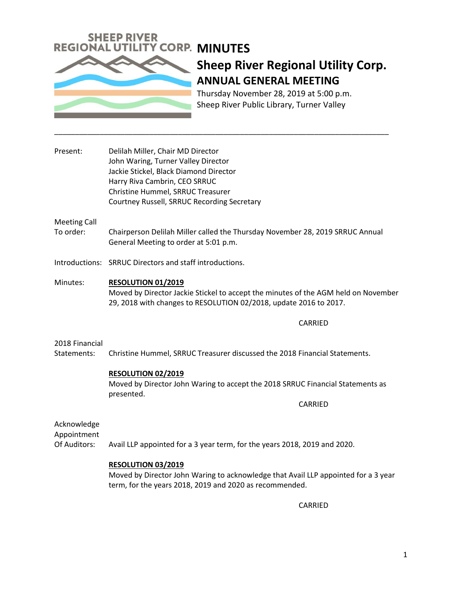

# **Sheep River Regional Utility Corp. ANNUAL GENERAL MEETING**

Thursday November 28, 2019 at 5:00 p.m. Sheep River Public Library, Turner Valley

Present: Delilah Miller, Chair MD Director John Waring, Turner Valley Director Jackie Stickel, Black Diamond Director Harry Riva Cambrin, CEO SRRUC Christine Hummel, SRRUC Treasurer Courtney Russell, SRRUC Recording Secretary

Meeting Call

To order: Chairperson Delilah Miller called the Thursday November 28, 2019 SRRUC Annual General Meeting to order at 5:01 p.m.

\_\_\_\_\_\_\_\_\_\_\_\_\_\_\_\_\_\_\_\_\_\_\_\_\_\_\_\_\_\_\_\_\_\_\_\_\_\_\_\_\_\_\_\_\_\_\_\_\_\_\_\_\_\_\_\_\_\_\_\_\_\_\_\_\_\_\_\_\_\_\_\_\_\_\_\_\_\_\_\_\_

Introductions: SRRUC Directors and staff introductions.

Minutes: **RESOLUTION 01/2019** Moved by Director Jackie Stickel to accept the minutes of the AGM held on November 29, 2018 with changes to RESOLUTION 02/2018, update 2016 to 2017.

CARRIED

#### 2018 Financial

Statements: Christine Hummel, SRRUC Treasurer discussed the 2018 Financial Statements.

#### **RESOLUTION 02/2019**

Moved by Director John Waring to accept the 2018 SRRUC Financial Statements as presented.

CARRIED

Acknowledge

Appointment Of Auditors: Avail LLP appointed for a 3 year term, for the years 2018, 2019 and 2020.

### **RESOLUTION 03/2019**

Moved by Director John Waring to acknowledge that Avail LLP appointed for a 3 year term, for the years 2018, 2019 and 2020 as recommended.

CARRIED